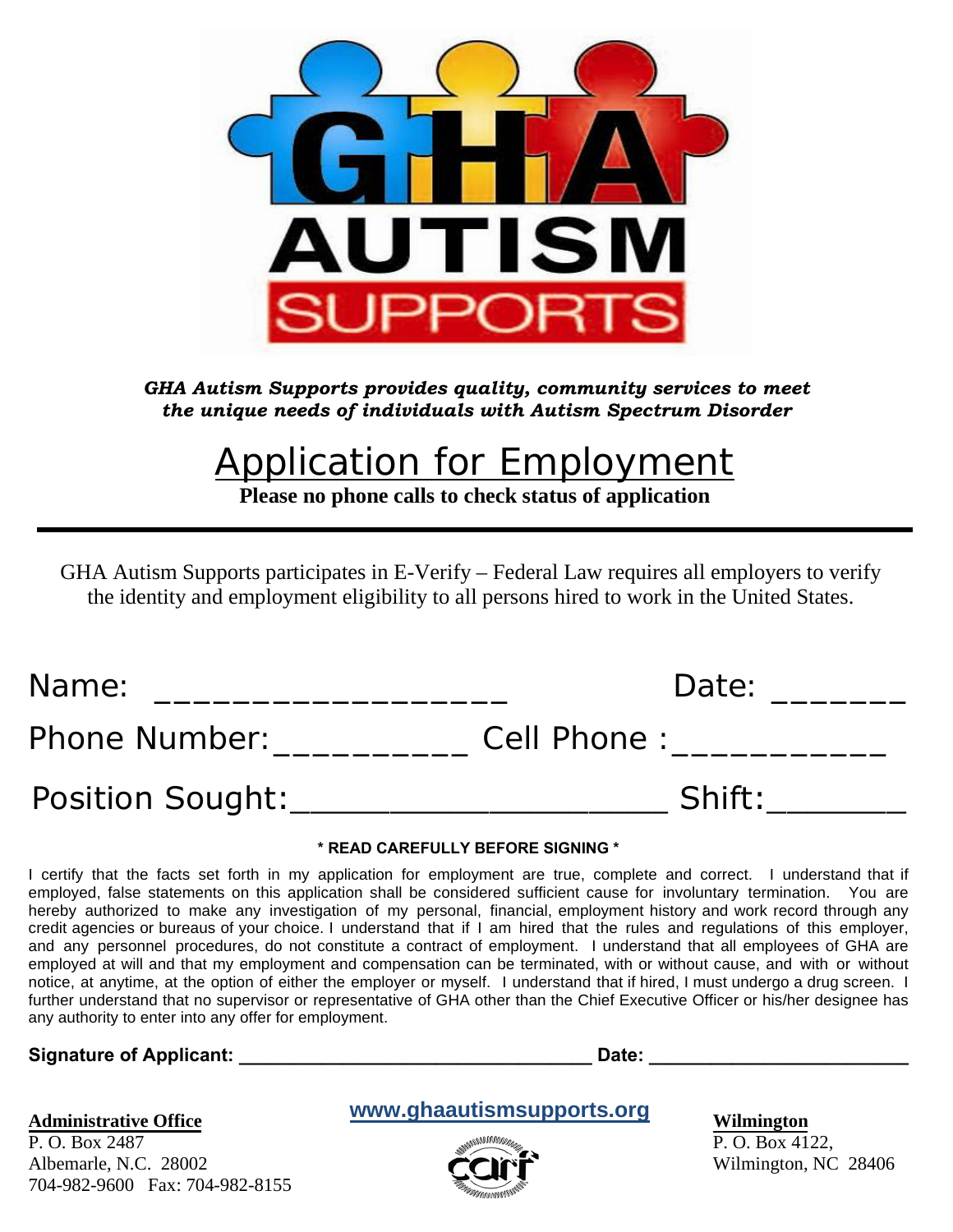

*GHA Autism Supports provides quality, community services to meet the unique needs of individuals with Autism Spectrum Disorder* 

# **Application for Employment**

**Please no phone calls to check status of application**

GHA Autism Supports participates in E-Verify – Federal Law requires all employers to verify the identity and employment eligibility to all persons hired to work in the United States.

| Name:                   | Date:       |
|-------------------------|-------------|
| Phone Number:           | Cell Phone: |
| <b>Position Sought:</b> | Shift:      |

#### **\* READ CAREFULLY BEFORE SIGNING \***

I certify that the facts set forth in my application for employment are true, complete and correct. I understand that if employed, false statements on this application shall be considered sufficient cause for involuntary termination. You are hereby authorized to make any investigation of my personal, financial, employment history and work record through any credit agencies or bureaus of your choice. I understand that if I am hired that the rules and regulations of this employer, and any personnel procedures, do not constitute a contract of employment. I understand that all employees of GHA are employed at will and that my employment and compensation can be terminated, with or without cause, and with or without notice, at anytime, at the option of either the employer or myself. I understand that if hired, I must undergo a drug screen. I further understand that no supervisor or representative of GHA other than the Chief Executive Officer or his/her designee has any authority to enter into any offer for employment.

### Signature of Applicant: **Example 20** and 20 and 20 and 20 and 20 and 20 and 20 and 20 and 20 and 20 and 20 and 20 and 20 and 20 and 20 and 20 and 20 and 20 and 20 and 20 and 20 and 20 and 20 and 20 and 20 and 20 and 20 and

#### **Administrative Office**

P. O. Box 2487 Albemarle, N.C. 28002 704-982-9600 Fax: 704-982-8155

# **www.ghaautismsupports.org**



**Wilmington**

P. O. Box 4122, Wilmington, NC 28406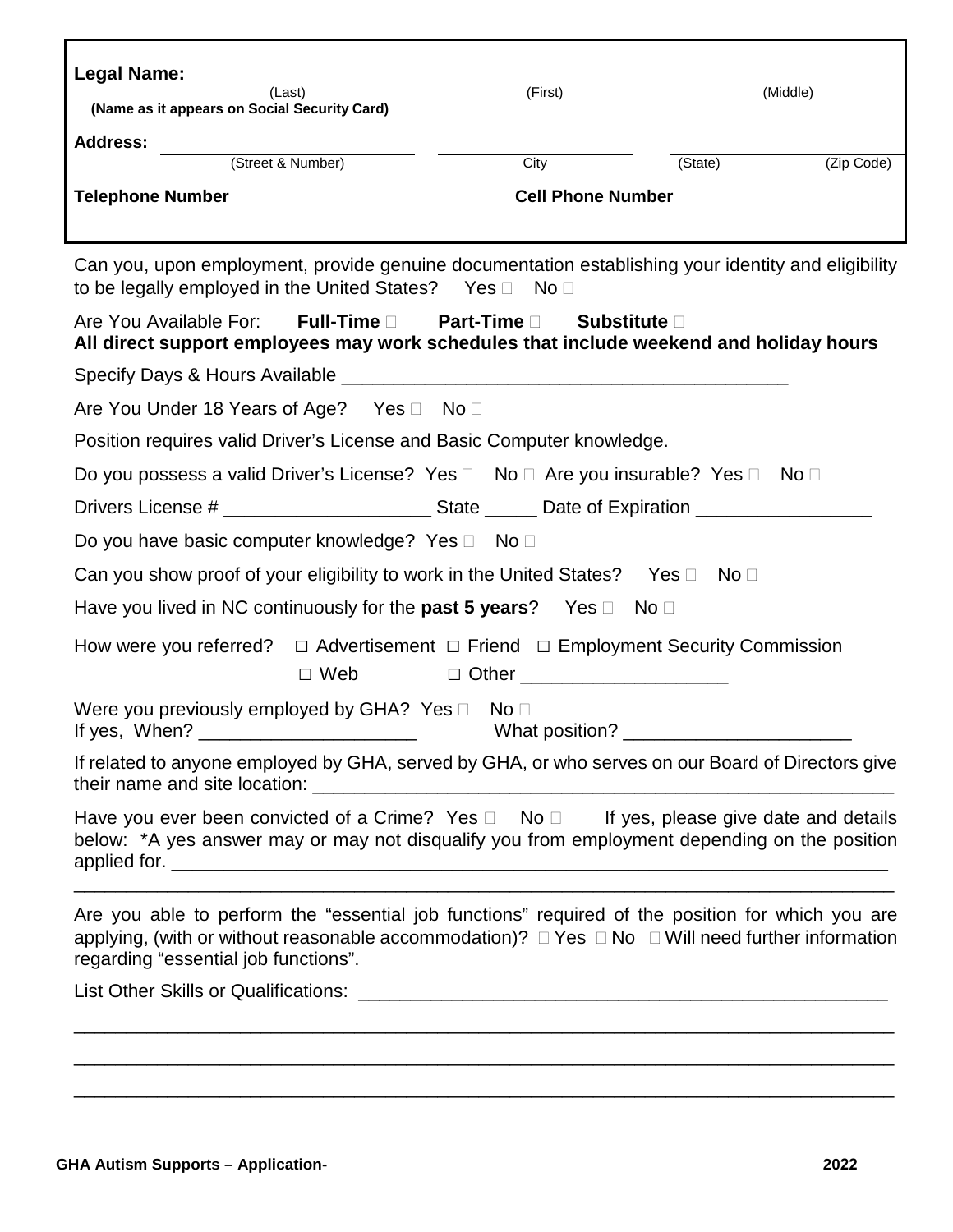| <b>Legal Name:</b><br>(Last)                                                                                                                                                                                                                 | (First)                                                                          | (Middle)                      |            |  |  |
|----------------------------------------------------------------------------------------------------------------------------------------------------------------------------------------------------------------------------------------------|----------------------------------------------------------------------------------|-------------------------------|------------|--|--|
| (Name as it appears on Social Security Card)                                                                                                                                                                                                 |                                                                                  |                               |            |  |  |
| <b>Address:</b><br>(Street & Number)                                                                                                                                                                                                         | City                                                                             | (State)                       | (Zip Code) |  |  |
| <b>Telephone Number</b>                                                                                                                                                                                                                      |                                                                                  | Cell Phone Number<br><u> </u> |            |  |  |
|                                                                                                                                                                                                                                              |                                                                                  |                               |            |  |  |
| Can you, upon employment, provide genuine documentation establishing your identity and eligibility<br>to be legally employed in the United States? Yes $\Box$ No $\Box$                                                                      |                                                                                  |                               |            |  |  |
| <b>Full-Time</b> □ Part-Time □<br>Are You Available For:<br>All direct support employees may work schedules that include weekend and holiday hours                                                                                           | Substitute D                                                                     |                               |            |  |  |
|                                                                                                                                                                                                                                              |                                                                                  |                               |            |  |  |
| Are You Under 18 Years of Age? Yes □ No □                                                                                                                                                                                                    |                                                                                  |                               |            |  |  |
| Position requires valid Driver's License and Basic Computer knowledge.                                                                                                                                                                       |                                                                                  |                               |            |  |  |
| Do you possess a valid Driver's License? Yes □ No □ Are you insurable? Yes □ No □                                                                                                                                                            |                                                                                  |                               |            |  |  |
|                                                                                                                                                                                                                                              |                                                                                  |                               |            |  |  |
| Do you have basic computer knowledge? Yes □ No □                                                                                                                                                                                             |                                                                                  |                               |            |  |  |
| Can you show proof of your eligibility to work in the United States? Yes $\Box$                                                                                                                                                              |                                                                                  | No $\square$                  |            |  |  |
| Have you lived in NC continuously for the <b>past 5 years</b> ? Yes $\Box$ No $\Box$                                                                                                                                                         |                                                                                  |                               |            |  |  |
| How were you referred? $\Box$ Advertisement $\Box$ Friend $\Box$ Employment Security Commission<br>$\Box$ Web                                                                                                                                | $\Box$ Other $\Box$                                                              |                               |            |  |  |
| Were you previously employed by GHA? Yes D                                                                                                                                                                                                   | No <sub>1</sub>                                                                  |                               |            |  |  |
| If related to anyone employed by GHA, served by GHA, or who serves on our Board of Directors give                                                                                                                                            |                                                                                  |                               |            |  |  |
| Have you ever been convicted of a Crime? Yes $\Box$ No $\Box$ If yes, please give date and details<br>below: *A yes answer may or may not disqualify you from employment depending on the position                                           |                                                                                  |                               |            |  |  |
| Are you able to perform the "essential job functions" required of the position for which you are<br>applying, (with or without reasonable accommodation)? □ Yes □ No □ Will need further information<br>regarding "essential job functions". |                                                                                  |                               |            |  |  |
|                                                                                                                                                                                                                                              |                                                                                  |                               |            |  |  |
|                                                                                                                                                                                                                                              | ,我们也不能在这里的人,我们也不能在这里的人,我们也不能在这里的人,我们也不能在这里的人,我们也不能在这里的人,我们也不能在这里的人,我们也不能在这里的人,我们 |                               |            |  |  |
|                                                                                                                                                                                                                                              |                                                                                  |                               |            |  |  |

\_\_\_\_\_\_\_\_\_\_\_\_\_\_\_\_\_\_\_\_\_\_\_\_\_\_\_\_\_\_\_\_\_\_\_\_\_\_\_\_\_\_\_\_\_\_\_\_\_\_\_\_\_\_\_\_\_\_\_\_\_\_\_\_\_\_\_\_\_\_\_\_\_\_\_\_\_\_\_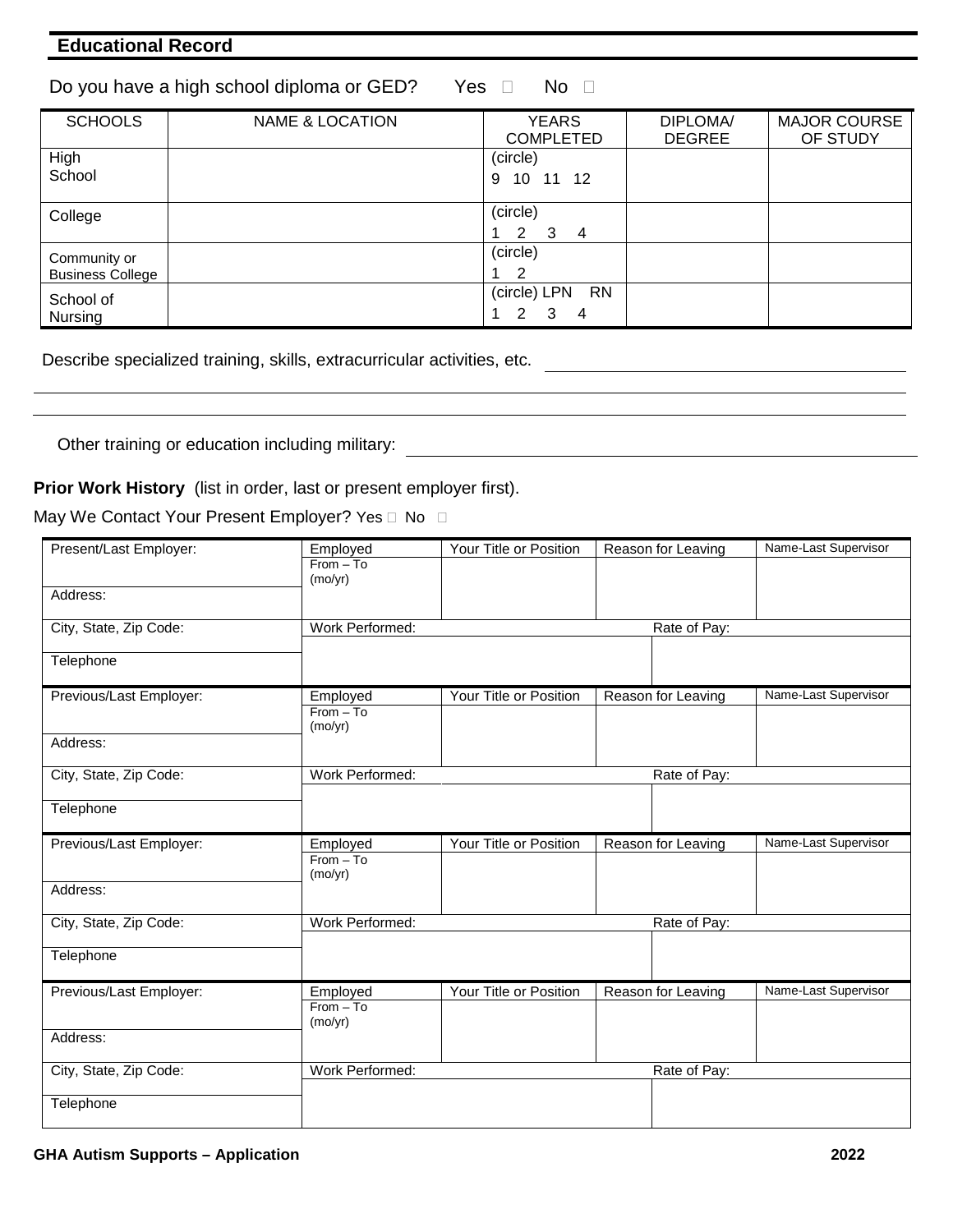## **Educational Record**

| Do you have a high school diploma or GED? | Yes □ | No l |
|-------------------------------------------|-------|------|
|-------------------------------------------|-------|------|

| <b>SCHOOLS</b>          | <b>NAME &amp; LOCATION</b> | <b>YEARS</b><br><b>COMPLETED</b> | DIPLOMA/<br><b>DEGREE</b> | <b>MAJOR COURSE</b><br>OF STUDY |
|-------------------------|----------------------------|----------------------------------|---------------------------|---------------------------------|
| High                    |                            | (circle)                         |                           |                                 |
| School                  |                            | 10 11 12<br>9                    |                           |                                 |
| College                 |                            | (circle)                         |                           |                                 |
|                         |                            | 2<br>-3<br>$\overline{4}$        |                           |                                 |
| Community or            |                            | (circle)                         |                           |                                 |
| <b>Business College</b> |                            | 2                                |                           |                                 |
| School of               |                            | <b>RN</b><br>(circle) LPN        |                           |                                 |
| Nursing                 |                            | 2<br>3<br>4                      |                           |                                 |

Describe specialized training, skills, extracurricular activities, etc.

Other training or education including military:

**Prior Work History** (list in order, last or present employer first).

May We Contact Your Present Employer? Yes  $\Box$  No  $\Box$ 

| Present/Last Employer:  | Employed               | Your Title or Position | Reason for Leaving | Name-Last Supervisor |
|-------------------------|------------------------|------------------------|--------------------|----------------------|
|                         | $From - To$            |                        |                    |                      |
|                         | (mo/yr)                |                        |                    |                      |
| Address:                |                        |                        |                    |                      |
| City, State, Zip Code:  | Work Performed:        |                        | Rate of Pay:       |                      |
|                         |                        |                        |                    |                      |
| Telephone               |                        |                        |                    |                      |
| Previous/Last Employer: | Employed               | Your Title or Position | Reason for Leaving | Name-Last Supervisor |
|                         | $From - To$<br>(mo/yr) |                        |                    |                      |
| Address:                |                        |                        |                    |                      |
| City, State, Zip Code:  | Work Performed:        |                        | Rate of Pay:       |                      |
|                         |                        |                        |                    |                      |
| Telephone               |                        |                        |                    |                      |
|                         |                        |                        |                    |                      |
| Previous/Last Employer: | Employed               | Your Title or Position | Reason for Leaving | Name-Last Supervisor |
|                         | $From - To$            |                        |                    |                      |
| Address:                | (mo/yr)                |                        |                    |                      |
|                         |                        |                        |                    |                      |
| City, State, Zip Code:  | Work Performed:        |                        | Rate of Pay:       |                      |
| Telephone               |                        |                        |                    |                      |
| Previous/Last Employer: | Employed               | Your Title or Position | Reason for Leaving | Name-Last Supervisor |
|                         | $From - To$            |                        |                    |                      |
| Address:                | (mo/yr)                |                        |                    |                      |
|                         |                        |                        |                    |                      |
| City, State, Zip Code:  | Work Performed:        |                        | Rate of Pay:       |                      |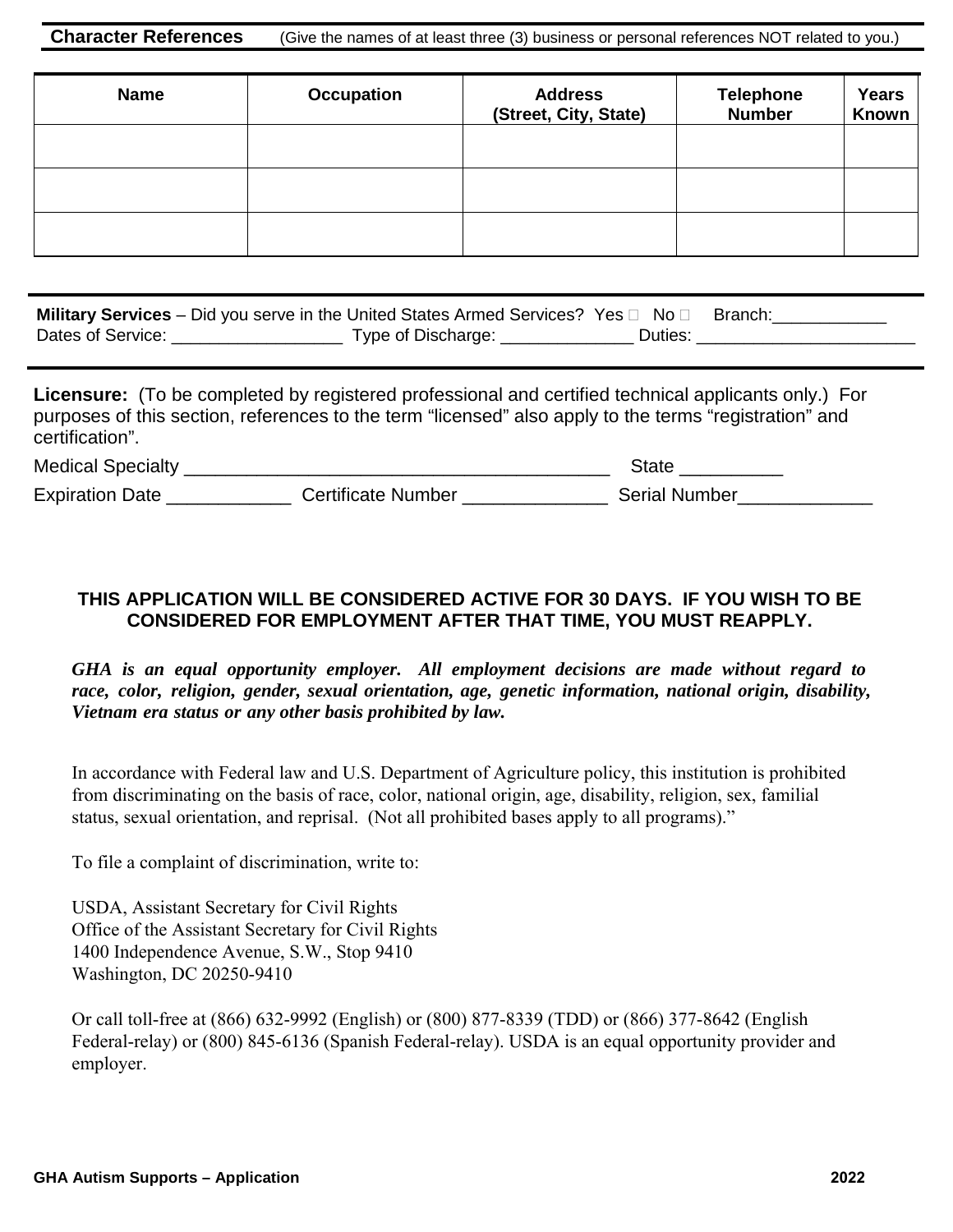**Character References** (Give the names of at least three (3) business or personal references NOT related to you.)

| <b>Name</b> | <b>Occupation</b> | <b>Address</b><br>(Street, City, State) | <b>Telephone</b><br><b>Number</b> | <b>Years</b><br>Known |
|-------------|-------------------|-----------------------------------------|-----------------------------------|-----------------------|
|             |                   |                                         |                                   |                       |
|             |                   |                                         |                                   |                       |
|             |                   |                                         |                                   |                       |

| <b>Military Services</b> – Did you serve in the United States Armed Services? Yes $\Box$ No $\Box$ |                    |         | Branch: |
|----------------------------------------------------------------------------------------------------|--------------------|---------|---------|
| Dates of Service:                                                                                  | Type of Discharge: | Duties: |         |

**Licensure:** (To be completed by registered professional and certified technical applicants only.) For purposes of this section, references to the term "licensed" also apply to the terms "registration" and certification". Medical Specialty \_\_\_\_\_\_\_\_\_\_\_\_\_\_\_\_\_\_\_\_\_\_\_\_\_\_\_\_\_\_\_\_\_\_\_\_\_\_\_\_\_ State \_\_\_\_\_\_\_\_\_\_

Expiration Date \_\_\_\_\_\_\_\_\_\_\_\_\_\_\_\_ Certificate Number \_\_\_\_\_\_\_\_\_\_\_\_\_\_\_\_\_\_\_\_\_ Serial Number\_\_\_\_\_\_

## **THIS APPLICATION WILL BE CONSIDERED ACTIVE FOR 30 DAYS. IF YOU WISH TO BE CONSIDERED FOR EMPLOYMENT AFTER THAT TIME, YOU MUST REAPPLY.**

*GHA is an equal opportunity employer. All employment decisions are made without regard to race, color, religion, gender, sexual orientation, age, genetic information, national origin, disability, Vietnam era status or any other basis prohibited by law.* 

In accordance with Federal law and U.S. Department of Agriculture policy, this institution is prohibited from discriminating on the basis of race, color, national origin, age, disability, religion, sex, familial status, sexual orientation, and reprisal. (Not all prohibited bases apply to all programs)."

To file a complaint of discrimination, write to:

USDA, Assistant Secretary for Civil Rights Office of the Assistant Secretary for Civil Rights 1400 Independence Avenue, S.W., Stop 9410 Washington, DC 20250-9410

Or call toll-free at (866) 632-9992 (English) or (800) 877-8339 (TDD) or (866) 377-8642 (English Federal-relay) or (800) 845-6136 (Spanish Federal-relay). USDA is an equal opportunity provider and employer.